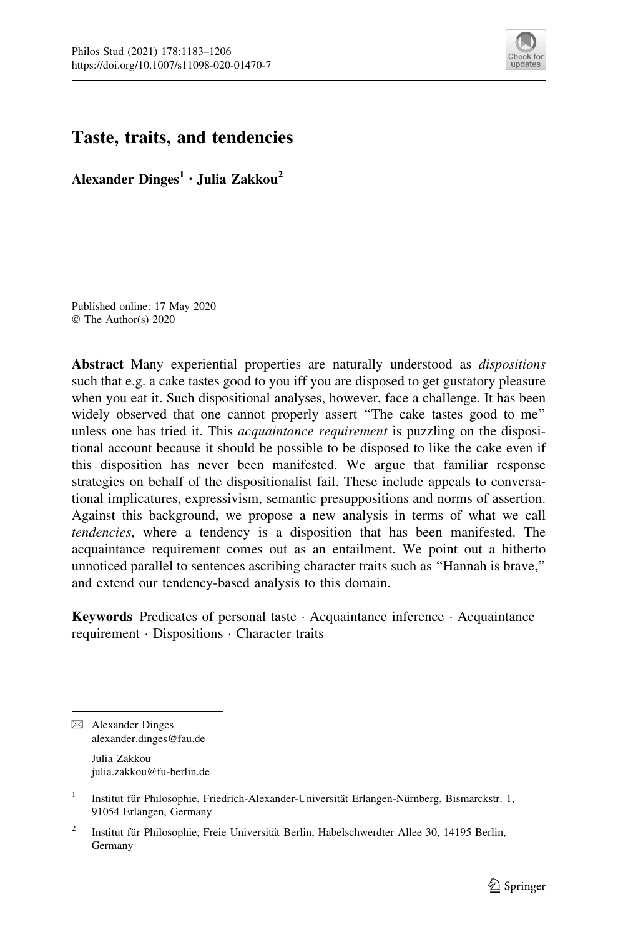

# Taste, traits, and tendencies

Alexander Dinges<sup>1</sup> · Julia Zakkou<sup>2</sup>

Published online: 17 May 2020 © The Author(s) 2020

Abstract Many experiential properties are naturally understood as *dispositions* such that e.g. a cake tastes good to you iff you are disposed to get gustatory pleasure when you eat it. Such dispositional analyses, however, face a challenge. It has been widely observed that one cannot properly assert ''The cake tastes good to me'' unless one has tried it. This *acquaintance requirement* is puzzling on the dispositional account because it should be possible to be disposed to like the cake even if this disposition has never been manifested. We argue that familiar response strategies on behalf of the dispositionalist fail. These include appeals to conversational implicatures, expressivism, semantic presuppositions and norms of assertion. Against this background, we propose a new analysis in terms of what we call tendencies, where a tendency is a disposition that has been manifested. The acquaintance requirement comes out as an entailment. We point out a hitherto unnoticed parallel to sentences ascribing character traits such as ''Hannah is brave,'' and extend our tendency-based analysis to this domain.

Keywords Predicates of personal taste · Acquaintance inference · Acquaintance requirement - Dispositions - Character traits

 $\boxtimes$  Alexander Dinges alexander.dinges@fau.de

> Julia Zakkou julia.zakkou@fu-berlin.de

<sup>1</sup> Institut für Philosophie, Friedrich-Alexander-Universität Erlangen-Nürnberg, Bismarckstr. 1, 91054 Erlangen, Germany

Institut für Philosophie, Freie Universität Berlin, Habelschwerdter Allee 30, 14195 Berlin, Germany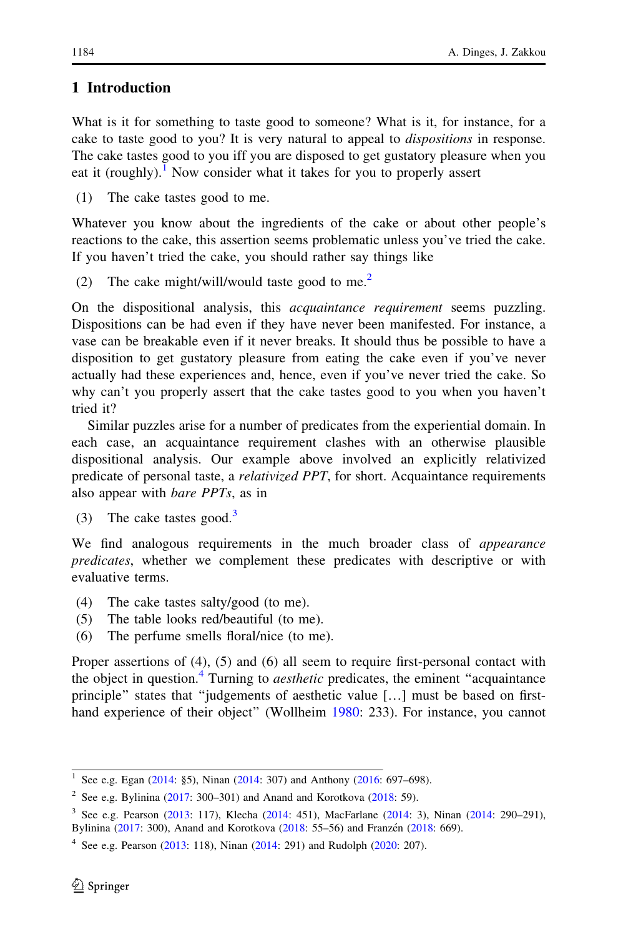## 1 Introduction

What is it for something to taste good to someone? What is it, for instance, for a cake to taste good to you? It is very natural to appeal to dispositions in response. The cake tastes good to you iff you are disposed to get gustatory pleasure when you eat it (roughly).<sup>1</sup> Now consider what it takes for you to properly assert

(1) The cake tastes good to me.

Whatever you know about the ingredients of the cake or about other people's reactions to the cake, this assertion seems problematic unless you've tried the cake. If you haven't tried the cake, you should rather say things like

(2) The cake might/will/would taste good to me.<sup>2</sup>

On the dispositional analysis, this acquaintance requirement seems puzzling. Dispositions can be had even if they have never been manifested. For instance, a vase can be breakable even if it never breaks. It should thus be possible to have a disposition to get gustatory pleasure from eating the cake even if you've never actually had these experiences and, hence, even if you've never tried the cake. So why can't you properly assert that the cake tastes good to you when you haven't tried it?

Similar puzzles arise for a number of predicates from the experiential domain. In each case, an acquaintance requirement clashes with an otherwise plausible dispositional analysis. Our example above involved an explicitly relativized predicate of personal taste, a relativized PPT, for short. Acquaintance requirements also appear with bare PPTs, as in

(3) The cake tastes good.<sup>3</sup>

We find analogous requirements in the much broader class of *appearance* predicates, whether we complement these predicates with descriptive or with evaluative terms.

- (4) The cake tastes salty/good (to me).
- (5) The table looks red/beautiful (to me).
- (6) The perfume smells floral/nice (to me).

Proper assertions of (4), (5) and (6) all seem to require first-personal contact with the object in question.<sup>4</sup> Turning to *aesthetic* predicates, the eminent "acquaintance" principle'' states that ''judgements of aesthetic value […] must be based on firsthand experience of their object'' (Wollheim [1980:](#page-23-0) 233). For instance, you cannot

See e.g. Egan ([2014:](#page-22-0) §5), Ninan (2014: 307) and Anthony [\(2016:](#page-22-0) 697–698).

<sup>&</sup>lt;sup>2</sup> See e.g. Bylinina [\(2017:](#page-22-0) 300–301) and Anand and Korotkova ([2018](#page-22-0): 59).

<sup>3</sup> See e.g. Pearson [\(2013](#page-22-0): 117), Klecha [\(2014](#page-22-0): 451), MacFarlane [\(2014](#page-22-0): 3), Ninan [\(2014](#page-22-0): 290–291), Bylinina ([2017:](#page-22-0) 300), Anand and Korotkova [\(2018](#page-22-0): 55–56) and Franzén (2018: 669).

<sup>&</sup>lt;sup>4</sup> See e.g. Pearson ([2013:](#page-22-0) 118), Ninan ([2014](#page-22-0): 291) and Rudolph [\(2020](#page-22-0): 207).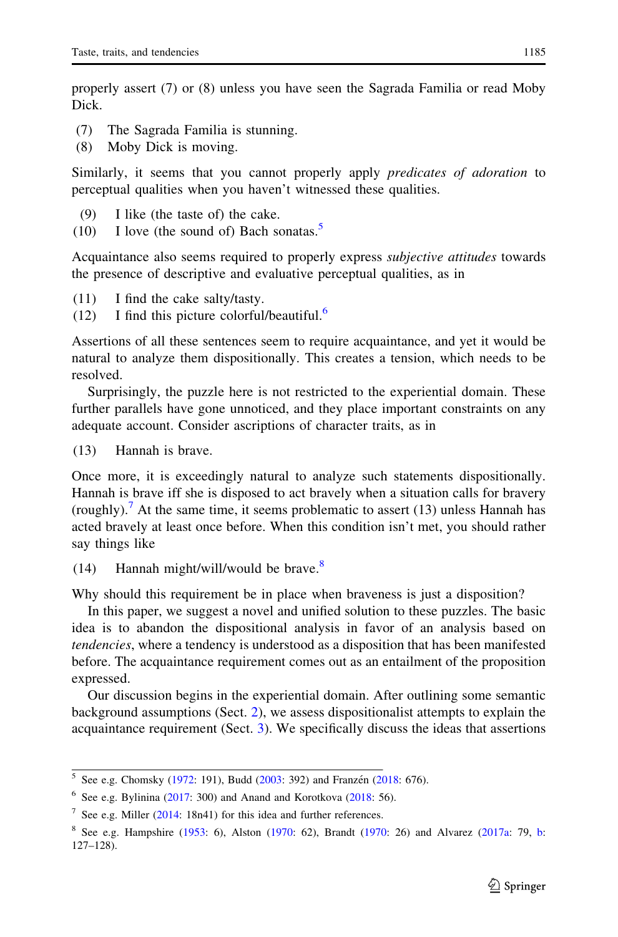properly assert (7) or (8) unless you have seen the Sagrada Familia or read Moby Dick.

- (7) The Sagrada Familia is stunning.
- (8) Moby Dick is moving.

Similarly, it seems that you cannot properly apply *predicates of adoration* to perceptual qualities when you haven't witnessed these qualities.

- (9) I like (the taste of) the cake.
- (10) I love (the sound of) Bach sonatas. $\overline{5}$

Acquaintance also seems required to properly express subjective attitudes towards the presence of descriptive and evaluative perceptual qualities, as in

- (11) I find the cake salty/tasty.
- (12) I find this picture colorful/beautiful.<sup>6</sup>

Assertions of all these sentences seem to require acquaintance, and yet it would be natural to analyze them dispositionally. This creates a tension, which needs to be resolved.

Surprisingly, the puzzle here is not restricted to the experiential domain. These further parallels have gone unnoticed, and they place important constraints on any adequate account. Consider ascriptions of character traits, as in

(13) Hannah is brave.

Once more, it is exceedingly natural to analyze such statements dispositionally. Hannah is brave iff she is disposed to act bravely when a situation calls for bravery (roughly).<sup>7</sup> At the same time, it seems problematic to assert (13) unless Hannah has acted bravely at least once before. When this condition isn't met, you should rather say things like

(14) Hannah might/will/would be brave.<sup>8</sup>

Why should this requirement be in place when braveness is just a disposition?

In this paper, we suggest a novel and unified solution to these puzzles. The basic idea is to abandon the dispositional analysis in favor of an analysis based on tendencies, where a tendency is understood as a disposition that has been manifested before. The acquaintance requirement comes out as an entailment of the proposition expressed.

Our discussion begins in the experiential domain. After outlining some semantic background assumptions (Sect. [2\)](#page-3-0), we assess dispositionalist attempts to explain the acquaintance requirement (Sect. [3\)](#page-6-0). We specifically discuss the ideas that assertions

 $5$  See e.g. Chomsky [\(1972:](#page-22-0) 191), Budd ([2003:](#page-22-0) 392) and Franzén ([2018:](#page-22-0) 676).

<sup>6</sup> See e.g. Bylinina [\(2017:](#page-22-0) 300) and Anand and Korotkova ([2018:](#page-22-0) 56).

<sup>&</sup>lt;sup>7</sup> See e.g. Miller  $(2014: 18n41)$  $(2014: 18n41)$  $(2014: 18n41)$  for this idea and further references.

 $8$  See e.g. Hampshire [\(1953](#page-22-0): 6), Alston [\(1970](#page-22-0): 62), Brandt (1970: 26) and Alvarez ([2017a](#page-22-0): 79, [b](#page-22-0): 127–128).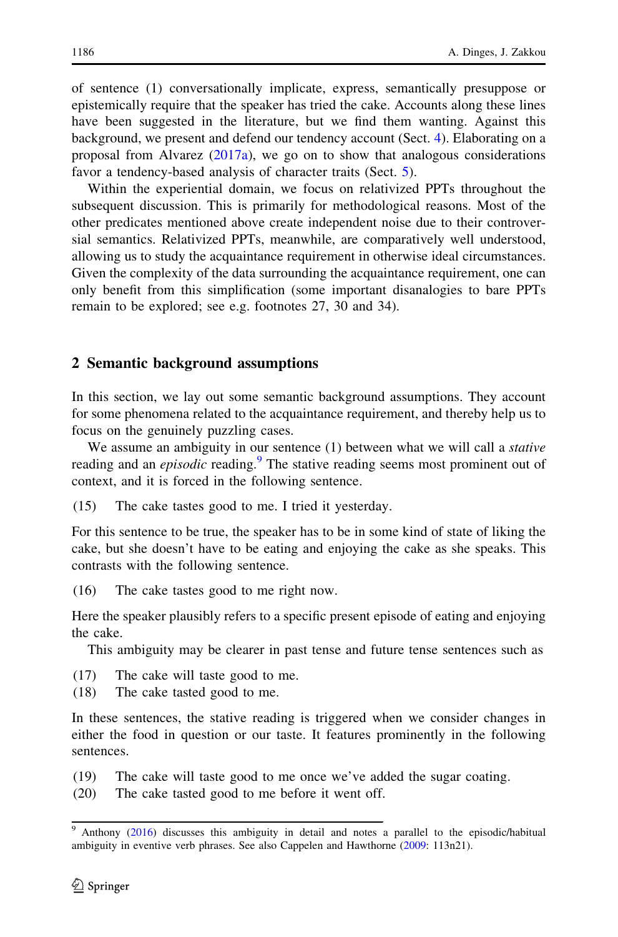<span id="page-3-0"></span>of sentence (1) conversationally implicate, express, semantically presuppose or epistemically require that the speaker has tried the cake. Accounts along these lines have been suggested in the literature, but we find them wanting. Against this background, we present and defend our tendency account (Sect. [4\)](#page-12-0). Elaborating on a proposal from Alvarez  $(2017a)$  $(2017a)$ , we go on to show that analogous considerations favor a tendency-based analysis of character traits (Sect. [5\)](#page-16-0).

Within the experiential domain, we focus on relativized PPTs throughout the subsequent discussion. This is primarily for methodological reasons. Most of the other predicates mentioned above create independent noise due to their controversial semantics. Relativized PPTs, meanwhile, are comparatively well understood, allowing us to study the acquaintance requirement in otherwise ideal circumstances. Given the complexity of the data surrounding the acquaintance requirement, one can only benefit from this simplification (some important disanalogies to bare PPTs remain to be explored; see e.g. footnotes 27, 30 and 34).

## 2 Semantic background assumptions

In this section, we lay out some semantic background assumptions. They account for some phenomena related to the acquaintance requirement, and thereby help us to focus on the genuinely puzzling cases.

We assume an ambiguity in our sentence (1) between what we will call a *stative* reading and an *episodic* reading.<sup>9</sup> The stative reading seems most prominent out of context, and it is forced in the following sentence.

(15) The cake tastes good to me. I tried it yesterday.

For this sentence to be true, the speaker has to be in some kind of state of liking the cake, but she doesn't have to be eating and enjoying the cake as she speaks. This contrasts with the following sentence.

(16) The cake tastes good to me right now.

Here the speaker plausibly refers to a specific present episode of eating and enjoying the cake.

This ambiguity may be clearer in past tense and future tense sentences such as

(17) The cake will taste good to me.

(18) The cake tasted good to me.

In these sentences, the stative reading is triggered when we consider changes in either the food in question or our taste. It features prominently in the following sentences.

(19) The cake will taste good to me once we've added the sugar coating.

(20) The cake tasted good to me before it went off.

<sup>&</sup>lt;sup>9</sup> Anthony ([2016\)](#page-22-0) discusses this ambiguity in detail and notes a parallel to the episodic/habitual ambiguity in eventive verb phrases. See also Cappelen and Hawthorne [\(2009](#page-22-0): 113n21).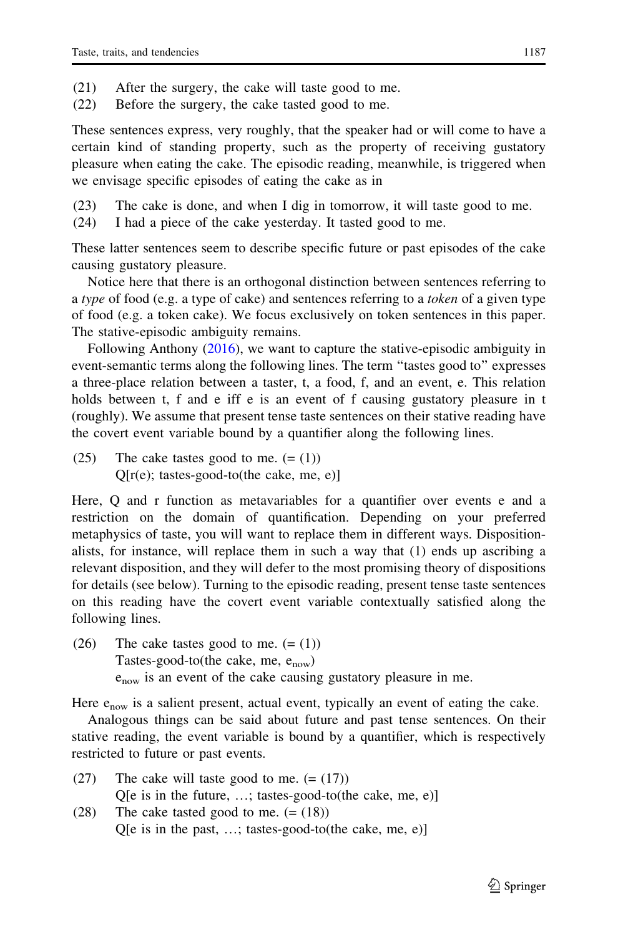- (21) After the surgery, the cake will taste good to me.
- (22) Before the surgery, the cake tasted good to me.

These sentences express, very roughly, that the speaker had or will come to have a certain kind of standing property, such as the property of receiving gustatory pleasure when eating the cake. The episodic reading, meanwhile, is triggered when we envisage specific episodes of eating the cake as in

- (23) The cake is done, and when I dig in tomorrow, it will taste good to me.
- (24) I had a piece of the cake yesterday. It tasted good to me.

These latter sentences seem to describe specific future or past episodes of the cake causing gustatory pleasure.

Notice here that there is an orthogonal distinction between sentences referring to a type of food (e.g. a type of cake) and sentences referring to a token of a given type of food (e.g. a token cake). We focus exclusively on token sentences in this paper. The stative-episodic ambiguity remains.

Following Anthony [\(2016](#page-22-0)), we want to capture the stative-episodic ambiguity in event-semantic terms along the following lines. The term ''tastes good to'' expresses a three-place relation between a taster, t, a food, f, and an event, e. This relation holds between t, f and e iff e is an event of f causing gustatory pleasure in t (roughly). We assume that present tense taste sentences on their stative reading have the covert event variable bound by a quantifier along the following lines.

(25) The cake tastes good to me.  $(=(1))$ Q[r(e); tastes-good-to(the cake, me, e)]

Here, Q and r function as metavariables for a quantifier over events e and a restriction on the domain of quantification. Depending on your preferred metaphysics of taste, you will want to replace them in different ways. Dispositionalists, for instance, will replace them in such a way that (1) ends up ascribing a relevant disposition, and they will defer to the most promising theory of dispositions for details (see below). Turning to the episodic reading, present tense taste sentences on this reading have the covert event variable contextually satisfied along the following lines.

(26) The cake tastes good to me.  $(=(1))$ Tastes-good-to(the cake, me,  $e_{now}$ ) enow is an event of the cake causing gustatory pleasure in me.

Here  $e_{now}$  is a salient present, actual event, typically an event of eating the cake.

Analogous things can be said about future and past tense sentences. On their stative reading, the event variable is bound by a quantifier, which is respectively restricted to future or past events.

(27) The cake will taste good to me.  $(=(17))$ Q[e is in the future, …; tastes-good-to(the cake, me, e)] (28) The cake tasted good to me.  $(=(18))$ 

Q[e is in the past, …; tastes-good-to(the cake, me, e)]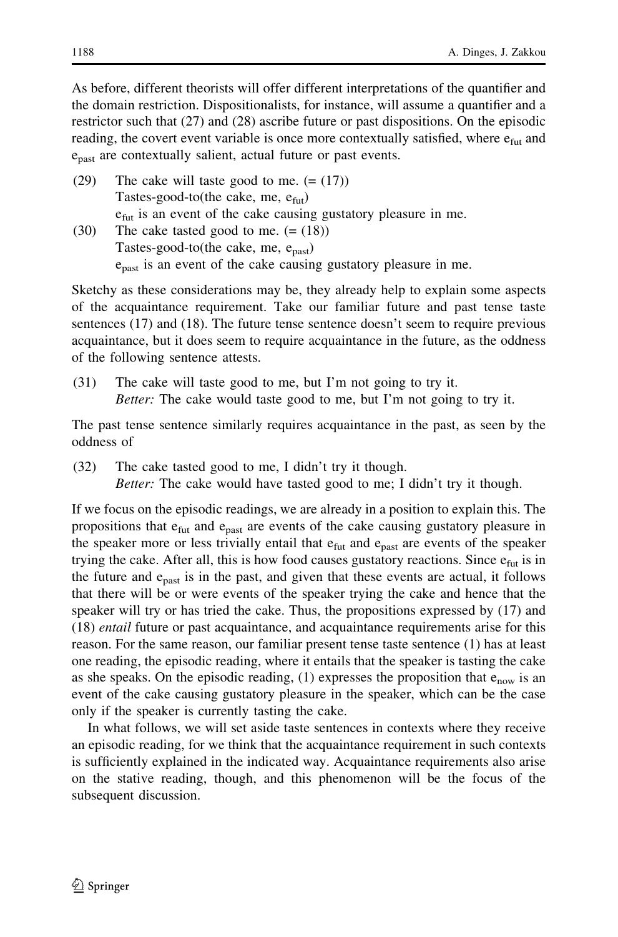As before, different theorists will offer different interpretations of the quantifier and the domain restriction. Dispositionalists, for instance, will assume a quantifier and a restrictor such that (27) and (28) ascribe future or past dispositions. On the episodic reading, the covert event variable is once more contextually satisfied, where  $e_{\text{fut}}$  and  $e<sub>past</sub>$  are contextually salient, actual future or past events.

(29) The cake will taste good to me.  $(=(17))$ Tastes-good-to(the cake, me, efut)  $e_{\text{fut}}$  is an event of the cake causing gustatory pleasure in me. (30) The cake tasted good to me.  $(=(18))$ Tastes-good-to(the cake, me,  $e_{\text{past}}$ )

 $e_{\text{past}}$  is an event of the cake causing gustatory pleasure in me.

Sketchy as these considerations may be, they already help to explain some aspects of the acquaintance requirement. Take our familiar future and past tense taste sentences (17) and (18). The future tense sentence doesn't seem to require previous acquaintance, but it does seem to require acquaintance in the future, as the oddness of the following sentence attests.

(31) The cake will taste good to me, but I'm not going to try it. Better: The cake would taste good to me, but I'm not going to try it.

The past tense sentence similarly requires acquaintance in the past, as seen by the oddness of

(32) The cake tasted good to me, I didn't try it though. Better: The cake would have tasted good to me; I didn't try it though.

If we focus on the episodic readings, we are already in a position to explain this. The propositions that e<sub>fut</sub> and e<sub>past</sub> are events of the cake causing gustatory pleasure in the speaker more or less trivially entail that  $e_{\text{fut}}$  and  $e_{\text{past}}$  are events of the speaker trying the cake. After all, this is how food causes gustatory reactions. Since  $e_{\text{fut}}$  is in the future and  $e_{\text{past}}$  is in the past, and given that these events are actual, it follows that there will be or were events of the speaker trying the cake and hence that the speaker will try or has tried the cake. Thus, the propositions expressed by (17) and (18) entail future or past acquaintance, and acquaintance requirements arise for this reason. For the same reason, our familiar present tense taste sentence (1) has at least one reading, the episodic reading, where it entails that the speaker is tasting the cake as she speaks. On the episodic reading,  $(1)$  expresses the proposition that  $e_{now}$  is an event of the cake causing gustatory pleasure in the speaker, which can be the case only if the speaker is currently tasting the cake.

In what follows, we will set aside taste sentences in contexts where they receive an episodic reading, for we think that the acquaintance requirement in such contexts is sufficiently explained in the indicated way. Acquaintance requirements also arise on the stative reading, though, and this phenomenon will be the focus of the subsequent discussion.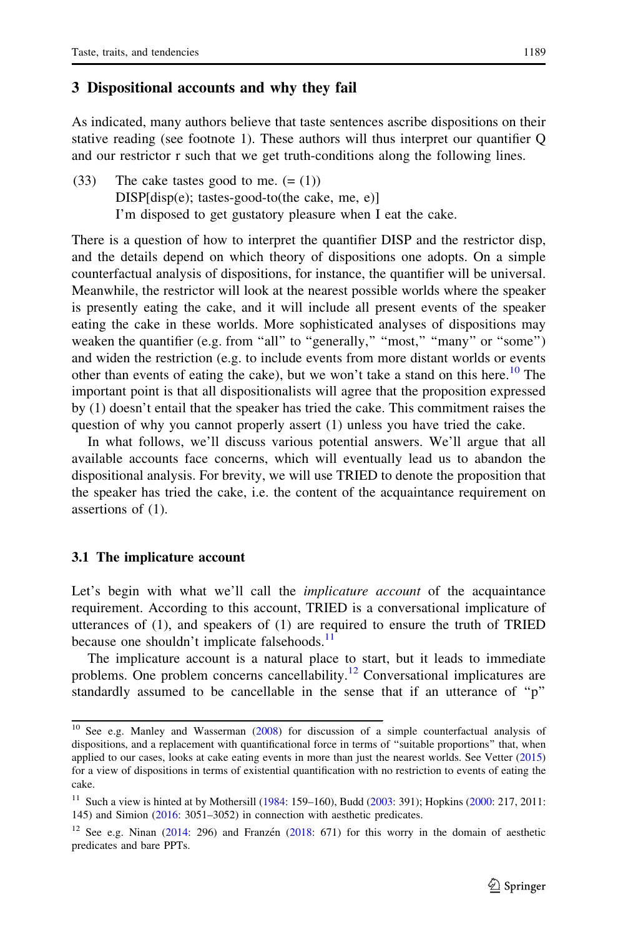### <span id="page-6-0"></span>3 Dispositional accounts and why they fail

As indicated, many authors believe that taste sentences ascribe dispositions on their stative reading (see footnote 1). These authors will thus interpret our quantifier Q and our restrictor r such that we get truth-conditions along the following lines.

(33) The cake tastes good to me.  $(=(1))$ DISP[disp(e); tastes-good-to(the cake, me, e)] I'm disposed to get gustatory pleasure when I eat the cake.

There is a question of how to interpret the quantifier DISP and the restrictor disp, and the details depend on which theory of dispositions one adopts. On a simple counterfactual analysis of dispositions, for instance, the quantifier will be universal. Meanwhile, the restrictor will look at the nearest possible worlds where the speaker is presently eating the cake, and it will include all present events of the speaker eating the cake in these worlds. More sophisticated analyses of dispositions may weaken the quantifier (e.g. from "all" to "generally," "most," "many" or "some") and widen the restriction (e.g. to include events from more distant worlds or events other than events of eating the cake), but we won't take a stand on this here.<sup>10</sup> The important point is that all dispositionalists will agree that the proposition expressed by (1) doesn't entail that the speaker has tried the cake. This commitment raises the question of why you cannot properly assert (1) unless you have tried the cake.

In what follows, we'll discuss various potential answers. We'll argue that all available accounts face concerns, which will eventually lead us to abandon the dispositional analysis. For brevity, we will use TRIED to denote the proposition that the speaker has tried the cake, i.e. the content of the acquaintance requirement on assertions of (1).

#### 3.1 The implicature account

Let's begin with what we'll call the *implicature account* of the acquaintance requirement. According to this account, TRIED is a conversational implicature of utterances of (1), and speakers of (1) are required to ensure the truth of TRIED because one shouldn't implicate falsehoods.<sup>11</sup>

The implicature account is a natural place to start, but it leads to immediate problems. One problem concerns cancellability.<sup>12</sup> Conversational implicatures are standardly assumed to be cancellable in the sense that if an utterance of ''p''

 $\frac{10}{10}$  See e.g. Manley and Wasserman [\(2008\)](#page-22-0) for discussion of a simple counterfactual analysis of dispositions, and a replacement with quantificational force in terms of ''suitable proportions'' that, when applied to our cases, looks at cake eating events in more than just the nearest worlds. See Vetter ([2015\)](#page-22-0) for a view of dispositions in terms of existential quantification with no restriction to events of eating the cake.

<sup>&</sup>lt;sup>11</sup> Such a view is hinted at by Mothersill [\(1984:](#page-22-0) 159-160), Budd ([2003](#page-22-0): 391); Hopkins [\(2000](#page-22-0): 217, 2011: 145) and Simion ([2016:](#page-22-0) 3051–3052) in connection with aesthetic predicates.

<sup>&</sup>lt;sup>12</sup> See e.g. Ninan ([2014:](#page-22-0) 296) and Franzén [\(2018:](#page-22-0) 671) for this worry in the domain of aesthetic predicates and bare PPTs.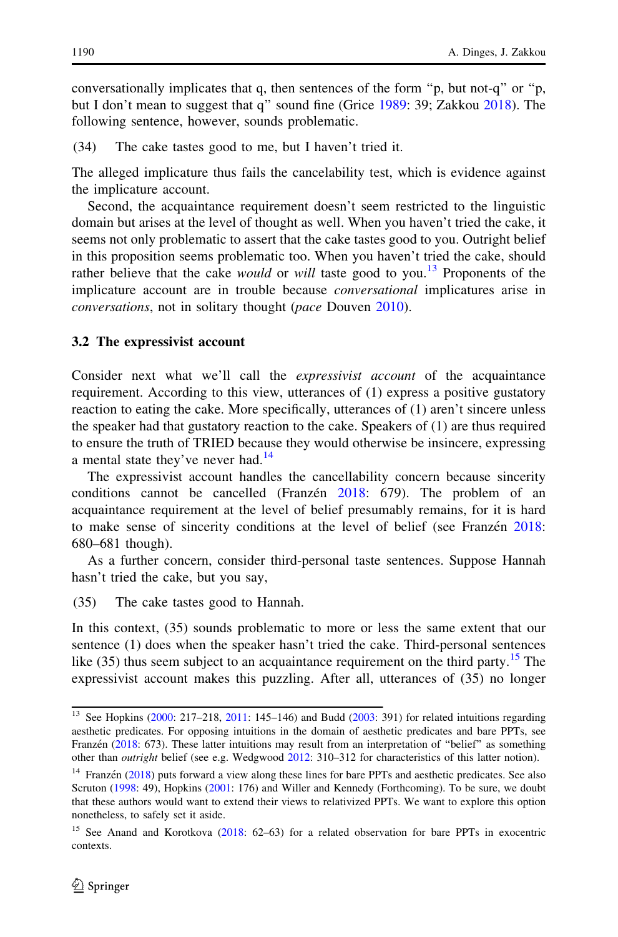conversationally implicates that q, then sentences of the form ''p, but not-q'' or ''p, but I don't mean to suggest that q'' sound fine (Grice [1989](#page-22-0): 39; Zakkou [2018](#page-23-0)). The following sentence, however, sounds problematic.

(34) The cake tastes good to me, but I haven't tried it.

The alleged implicature thus fails the cancelability test, which is evidence against the implicature account.

Second, the acquaintance requirement doesn't seem restricted to the linguistic domain but arises at the level of thought as well. When you haven't tried the cake, it seems not only problematic to assert that the cake tastes good to you. Outright belief in this proposition seems problematic too. When you haven't tried the cake, should rather believe that the cake *would* or *will* taste good to you.<sup>13</sup> Proponents of the implicature account are in trouble because conversational implicatures arise in conversations, not in solitary thought (pace Douven [2010](#page-22-0)).

#### 3.2 The expressivist account

Consider next what we'll call the expressivist account of the acquaintance requirement. According to this view, utterances of (1) express a positive gustatory reaction to eating the cake. More specifically, utterances of (1) aren't sincere unless the speaker had that gustatory reaction to the cake. Speakers of (1) are thus required to ensure the truth of TRIED because they would otherwise be insincere, expressing a mental state they've never had.<sup>14</sup>

The expressivist account handles the cancellability concern because sincerity conditions cannot be cancelled (Franzén  $2018$ : 679). The problem of an acquaintance requirement at the level of belief presumably remains, for it is hard to make sense of sincerity conditions at the level of belief (see Franze<sup>n [2018:](#page-22-0)</sup> 680–681 though).

As a further concern, consider third-personal taste sentences. Suppose Hannah hasn't tried the cake, but you say,

(35) The cake tastes good to Hannah.

In this context, (35) sounds problematic to more or less the same extent that our sentence (1) does when the speaker hasn't tried the cake. Third-personal sentences like  $(35)$  thus seem subject to an acquaintance requirement on the third party.<sup>15</sup> The expressivist account makes this puzzling. After all, utterances of (35) no longer

<sup>&</sup>lt;sup>13</sup> See Hopkins [\(2000](#page-22-0): 217–218, [2011](#page-22-0): 145–146) and Budd ([2003:](#page-22-0) 391) for related intuitions regarding aesthetic predicates. For opposing intuitions in the domain of aesthetic predicates and bare PPTs, see Franzén [\(2018:](#page-22-0) 673). These latter intuitions may result from an interpretation of "belief" as something other than outright belief (see e.g. Wedgwood [2012:](#page-23-0) 310–312 for characteristics of this latter notion).

 $14$  Franzén ([2018](#page-22-0)) puts forward a view along these lines for bare PPTs and aesthetic predicates. See also Scruton ([1998:](#page-22-0) 49), Hopkins ([2001:](#page-22-0) 176) and Willer and Kennedy (Forthcoming). To be sure, we doubt that these authors would want to extend their views to relativized PPTs. We want to explore this option nonetheless, to safely set it aside.

<sup>&</sup>lt;sup>15</sup> See Anand and Korotkova [\(2018](#page-22-0): 62-63) for a related observation for bare PPTs in exocentric contexts.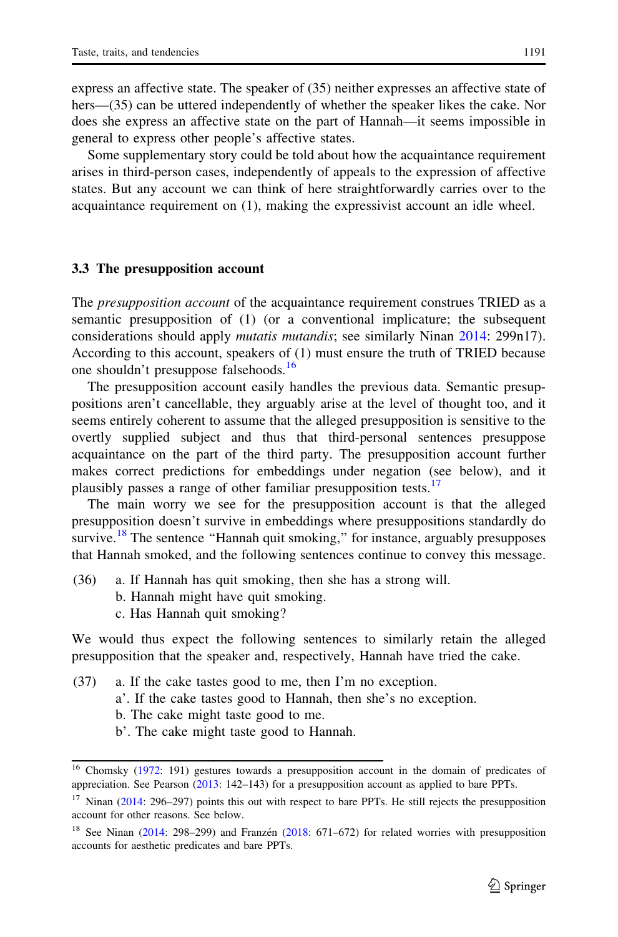express an affective state. The speaker of (35) neither expresses an affective state of hers—(35) can be uttered independently of whether the speaker likes the cake. Nor does she express an affective state on the part of Hannah—it seems impossible in general to express other people's affective states.

Some supplementary story could be told about how the acquaintance requirement arises in third-person cases, independently of appeals to the expression of affective states. But any account we can think of here straightforwardly carries over to the acquaintance requirement on (1), making the expressivist account an idle wheel.

#### 3.3 The presupposition account

The *presupposition account* of the acquaintance requirement construes TRIED as a semantic presupposition of (1) (or a conventional implicature; the subsequent considerations should apply mutatis mutandis; see similarly Ninan [2014](#page-22-0): 299n17). According to this account, speakers of (1) must ensure the truth of TRIED because one shouldn't presuppose falsehoods.<sup>16</sup>

The presupposition account easily handles the previous data. Semantic presuppositions aren't cancellable, they arguably arise at the level of thought too, and it seems entirely coherent to assume that the alleged presupposition is sensitive to the overtly supplied subject and thus that third-personal sentences presuppose acquaintance on the part of the third party. The presupposition account further makes correct predictions for embeddings under negation (see below), and it plausibly passes a range of other familiar presupposition tests.<sup>17</sup>

The main worry we see for the presupposition account is that the alleged presupposition doesn't survive in embeddings where presuppositions standardly do survive.<sup>18</sup> The sentence "Hannah quit smoking," for instance, arguably presupposes that Hannah smoked, and the following sentences continue to convey this message.

- (36) a. If Hannah has quit smoking, then she has a strong will.
	- b. Hannah might have quit smoking.
	- c. Has Hannah quit smoking?

We would thus expect the following sentences to similarly retain the alleged presupposition that the speaker and, respectively, Hannah have tried the cake.

- (37) a. If the cake tastes good to me, then I'm no exception.
	- a'. If the cake tastes good to Hannah, then she's no exception.
		- b. The cake might taste good to me.
		- b'. The cake might taste good to Hannah.

<sup>&</sup>lt;sup>16</sup> Chomsky ([1972:](#page-22-0) 191) gestures towards a presupposition account in the domain of predicates of appreciation. See Pearson ([2013:](#page-22-0) 142–143) for a presupposition account as applied to bare PPTs.

<sup>&</sup>lt;sup>17</sup> Ninan ([2014:](#page-22-0) 296–297) points this out with respect to bare PPTs. He still rejects the presupposition account for other reasons. See below.

 $18$  See Ninan [\(2014](#page-22-0): 298-299) and Franzén [\(2018](#page-22-0): 671-672) for related worries with presupposition accounts for aesthetic predicates and bare PPTs.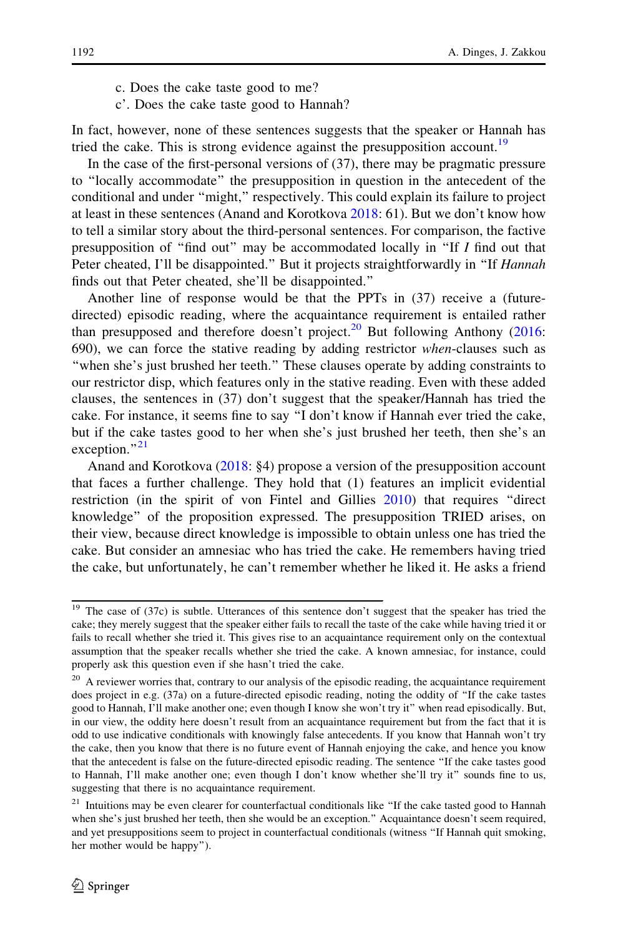- c. Does the cake taste good to me?
- c'. Does the cake taste good to Hannah?

In fact, however, none of these sentences suggests that the speaker or Hannah has tried the cake. This is strong evidence against the presupposition account.<sup>19</sup>

In the case of the first-personal versions of (37), there may be pragmatic pressure to ''locally accommodate'' the presupposition in question in the antecedent of the conditional and under ''might,'' respectively. This could explain its failure to project at least in these sentences (Anand and Korotkova [2018](#page-22-0): 61). But we don't know how to tell a similar story about the third-personal sentences. For comparison, the factive presupposition of ''find out'' may be accommodated locally in ''If I find out that Peter cheated, I'll be disappointed." But it projects straightforwardly in "If *Hannah* finds out that Peter cheated, she'll be disappointed.''

Another line of response would be that the PPTs in (37) receive a (futuredirected) episodic reading, where the acquaintance requirement is entailed rather than presupposed and therefore doesn't project.<sup>20</sup> But following Anthony ([2016:](#page-22-0) 690), we can force the stative reading by adding restrictor when-clauses such as "when she's just brushed her teeth." These clauses operate by adding constraints to our restrictor disp, which features only in the stative reading. Even with these added clauses, the sentences in (37) don't suggest that the speaker/Hannah has tried the cake. For instance, it seems fine to say ''I don't know if Hannah ever tried the cake, but if the cake tastes good to her when she's just brushed her teeth, then she's an exception."<sup>21</sup>

Anand and Korotkova ([2018:](#page-22-0) §4) propose a version of the presupposition account that faces a further challenge. They hold that (1) features an implicit evidential restriction (in the spirit of von Fintel and Gillies [2010\)](#page-22-0) that requires ''direct knowledge'' of the proposition expressed. The presupposition TRIED arises, on their view, because direct knowledge is impossible to obtain unless one has tried the cake. But consider an amnesiac who has tried the cake. He remembers having tried the cake, but unfortunately, he can't remember whether he liked it. He asks a friend

<sup>&</sup>lt;sup>19</sup> The case of (37c) is subtle. Utterances of this sentence don't suggest that the speaker has tried the cake; they merely suggest that the speaker either fails to recall the taste of the cake while having tried it or fails to recall whether she tried it. This gives rise to an acquaintance requirement only on the contextual assumption that the speaker recalls whether she tried the cake. A known amnesiac, for instance, could properly ask this question even if she hasn't tried the cake.

<sup>&</sup>lt;sup>20</sup> A reviewer worries that, contrary to our analysis of the episodic reading, the acquaintance requirement does project in e.g. (37a) on a future-directed episodic reading, noting the oddity of ''If the cake tastes good to Hannah, I'll make another one; even though I know she won't try it'' when read episodically. But, in our view, the oddity here doesn't result from an acquaintance requirement but from the fact that it is odd to use indicative conditionals with knowingly false antecedents. If you know that Hannah won't try the cake, then you know that there is no future event of Hannah enjoying the cake, and hence you know that the antecedent is false on the future-directed episodic reading. The sentence ''If the cake tastes good to Hannah, I'll make another one; even though I don't know whether she'll try it'' sounds fine to us, suggesting that there is no acquaintance requirement.

 $21$  Intuitions may be even clearer for counterfactual conditionals like "If the cake tasted good to Hannah when she's just brushed her teeth, then she would be an exception.'' Acquaintance doesn't seem required, and yet presuppositions seem to project in counterfactual conditionals (witness ''If Hannah quit smoking, her mother would be happy'').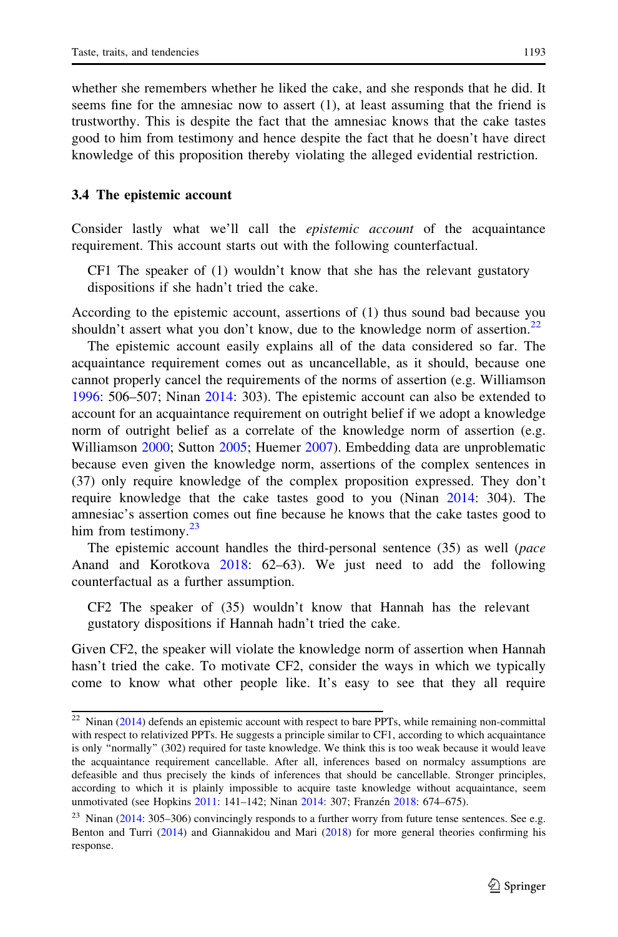whether she remembers whether he liked the cake, and she responds that he did. It seems fine for the amnesiac now to assert (1), at least assuming that the friend is trustworthy. This is despite the fact that the amnesiac knows that the cake tastes good to him from testimony and hence despite the fact that he doesn't have direct knowledge of this proposition thereby violating the alleged evidential restriction.

#### 3.4 The epistemic account

Consider lastly what we'll call the epistemic account of the acquaintance requirement. This account starts out with the following counterfactual.

CF1 The speaker of (1) wouldn't know that she has the relevant gustatory dispositions if she hadn't tried the cake.

According to the epistemic account, assertions of (1) thus sound bad because you shouldn't assert what you don't know, due to the knowledge norm of assertion.<sup>22</sup>

The epistemic account easily explains all of the data considered so far. The acquaintance requirement comes out as uncancellable, as it should, because one cannot properly cancel the requirements of the norms of assertion (e.g. Williamson [1996:](#page-23-0) 506–507; Ninan [2014:](#page-22-0) 303). The epistemic account can also be extended to account for an acquaintance requirement on outright belief if we adopt a knowledge norm of outright belief as a correlate of the knowledge norm of assertion (e.g. Williamson [2000;](#page-23-0) Sutton [2005;](#page-22-0) Huemer [2007](#page-22-0)). Embedding data are unproblematic because even given the knowledge norm, assertions of the complex sentences in (37) only require knowledge of the complex proposition expressed. They don't require knowledge that the cake tastes good to you (Ninan [2014:](#page-22-0) 304). The amnesiac's assertion comes out fine because he knows that the cake tastes good to him from testimony. $23$ 

The epistemic account handles the third-personal sentence (35) as well (pace Anand and Korotkova [2018](#page-22-0): 62–63). We just need to add the following counterfactual as a further assumption.

CF2 The speaker of (35) wouldn't know that Hannah has the relevant gustatory dispositions if Hannah hadn't tried the cake.

Given CF2, the speaker will violate the knowledge norm of assertion when Hannah hasn't tried the cake. To motivate CF2, consider the ways in which we typically come to know what other people like. It's easy to see that they all require

 $22$  Ninan ( $2014$ ) defends an epistemic account with respect to bare PPTs, while remaining non-committal with respect to relativized PPTs. He suggests a principle similar to CF1, according to which acquaintance is only ''normally'' (302) required for taste knowledge. We think this is too weak because it would leave the acquaintance requirement cancellable. After all, inferences based on normalcy assumptions are defeasible and thus precisely the kinds of inferences that should be cancellable. Stronger principles, according to which it is plainly impossible to acquire taste knowledge without acquaintance, seem unmotivated (see Hopkins [2011:](#page-22-0) 141-142; Ninan [2014](#page-22-0): 307; Franzén [2018](#page-22-0): 674-675).

 $23$  Ninan [\(2014](#page-22-0): 305–306) convincingly responds to a further worry from future tense sentences. See e.g. Benton and Turri [\(2014](#page-22-0)) and Giannakidou and Mari ([2018](#page-22-0)) for more general theories confirming his response.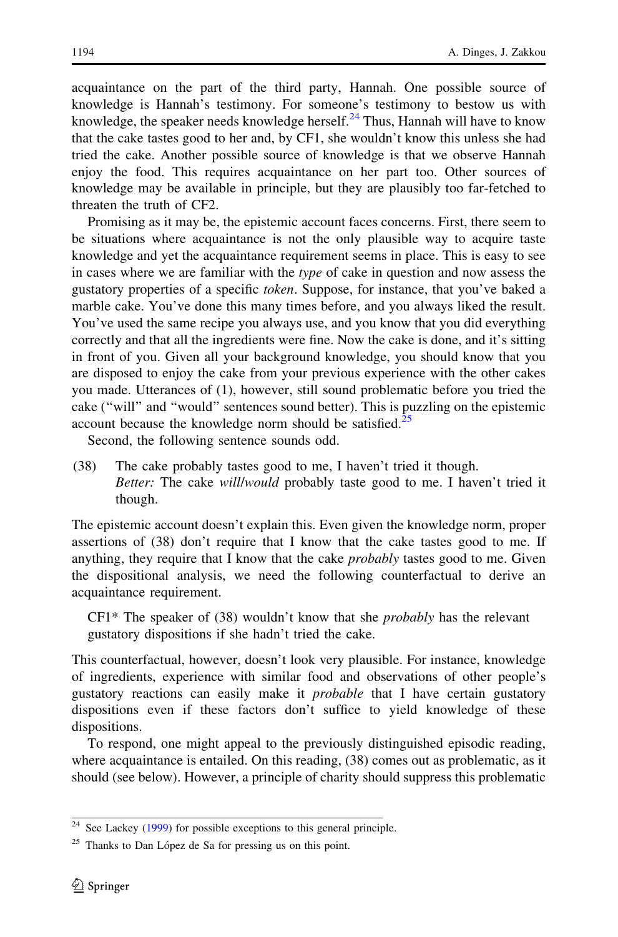acquaintance on the part of the third party, Hannah. One possible source of knowledge is Hannah's testimony. For someone's testimony to bestow us with knowledge, the speaker needs knowledge herself.<sup>24</sup> Thus, Hannah will have to know that the cake tastes good to her and, by CF1, she wouldn't know this unless she had tried the cake. Another possible source of knowledge is that we observe Hannah enjoy the food. This requires acquaintance on her part too. Other sources of knowledge may be available in principle, but they are plausibly too far-fetched to threaten the truth of CF2.

Promising as it may be, the epistemic account faces concerns. First, there seem to be situations where acquaintance is not the only plausible way to acquire taste knowledge and yet the acquaintance requirement seems in place. This is easy to see in cases where we are familiar with the type of cake in question and now assess the gustatory properties of a specific token. Suppose, for instance, that you've baked a marble cake. You've done this many times before, and you always liked the result. You've used the same recipe you always use, and you know that you did everything correctly and that all the ingredients were fine. Now the cake is done, and it's sitting in front of you. Given all your background knowledge, you should know that you are disposed to enjoy the cake from your previous experience with the other cakes you made. Utterances of (1), however, still sound problematic before you tried the cake (''will'' and ''would'' sentences sound better). This is puzzling on the epistemic account because the knowledge norm should be satisfied.<sup>25</sup>

Second, the following sentence sounds odd.

(38) The cake probably tastes good to me, I haven't tried it though. Better: The cake will/would probably taste good to me. I haven't tried it though.

The epistemic account doesn't explain this. Even given the knowledge norm, proper assertions of (38) don't require that I know that the cake tastes good to me. If anything, they require that I know that the cake *probably* tastes good to me. Given the dispositional analysis, we need the following counterfactual to derive an acquaintance requirement.

 $CF1*$  The speaker of (38) wouldn't know that she *probably* has the relevant gustatory dispositions if she hadn't tried the cake.

This counterfactual, however, doesn't look very plausible. For instance, knowledge of ingredients, experience with similar food and observations of other people's gustatory reactions can easily make it *probable* that I have certain gustatory dispositions even if these factors don't suffice to yield knowledge of these dispositions.

To respond, one might appeal to the previously distinguished episodic reading, where acquaintance is entailed. On this reading, (38) comes out as problematic, as it should (see below). However, a principle of charity should suppress this problematic

 $24$  See Lackey ([1999\)](#page-22-0) for possible exceptions to this general principle.

 $25$  Thanks to Dan López de Sa for pressing us on this point.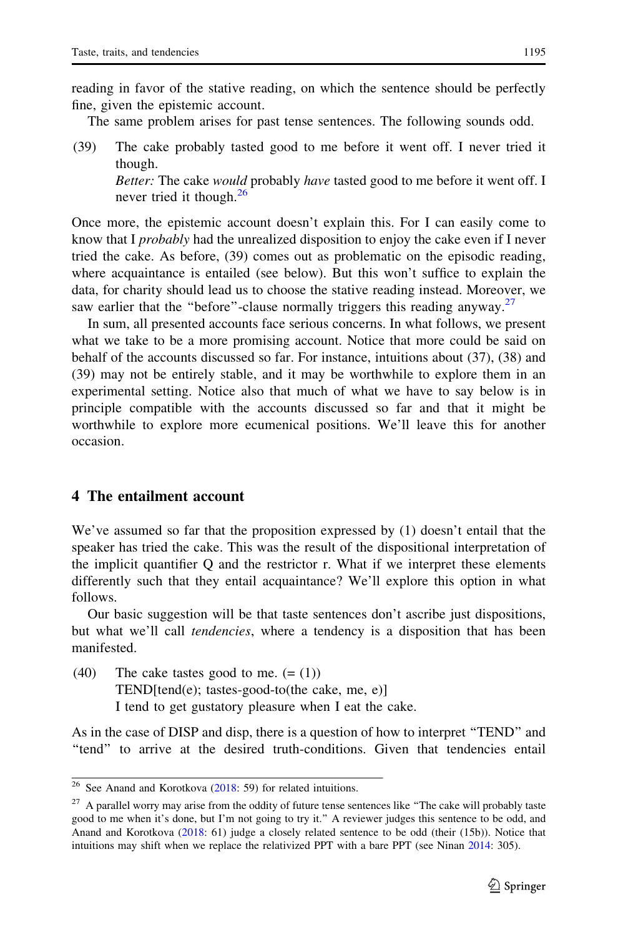<span id="page-12-0"></span>reading in favor of the stative reading, on which the sentence should be perfectly fine, given the epistemic account.

The same problem arises for past tense sentences. The following sounds odd.

(39) The cake probably tasted good to me before it went off. I never tried it though.

Better: The cake would probably have tasted good to me before it went off. I never tried it though. $26$ 

Once more, the epistemic account doesn't explain this. For I can easily come to know that I *probably* had the unrealized disposition to enjoy the cake even if I never tried the cake. As before, (39) comes out as problematic on the episodic reading, where acquaintance is entailed (see below). But this won't suffice to explain the data, for charity should lead us to choose the stative reading instead. Moreover, we saw earlier that the "before"-clause normally triggers this reading anyway.<sup>27</sup>

In sum, all presented accounts face serious concerns. In what follows, we present what we take to be a more promising account. Notice that more could be said on behalf of the accounts discussed so far. For instance, intuitions about (37), (38) and (39) may not be entirely stable, and it may be worthwhile to explore them in an experimental setting. Notice also that much of what we have to say below is in principle compatible with the accounts discussed so far and that it might be worthwhile to explore more ecumenical positions. We'll leave this for another occasion.

## 4 The entailment account

We've assumed so far that the proposition expressed by (1) doesn't entail that the speaker has tried the cake. This was the result of the dispositional interpretation of the implicit quantifier Q and the restrictor r. What if we interpret these elements differently such that they entail acquaintance? We'll explore this option in what follows.

Our basic suggestion will be that taste sentences don't ascribe just dispositions, but what we'll call *tendencies*, where a tendency is a disposition that has been manifested.

(40) The cake tastes good to me.  $(=(1))$ TEND[tend(e); tastes-good-to(the cake, me, e)] I tend to get gustatory pleasure when I eat the cake.

As in the case of DISP and disp, there is a question of how to interpret ''TEND'' and ''tend'' to arrive at the desired truth-conditions. Given that tendencies entail

<sup>26</sup> See Anand and Korotkova [\(2018](#page-22-0): 59) for related intuitions.

 $27$  A parallel worry may arise from the oddity of future tense sentences like "The cake will probably taste good to me when it's done, but I'm not going to try it.'' A reviewer judges this sentence to be odd, and Anand and Korotkova [\(2018](#page-22-0): 61) judge a closely related sentence to be odd (their (15b)). Notice that intuitions may shift when we replace the relativized PPT with a bare PPT (see Ninan [2014](#page-22-0): 305).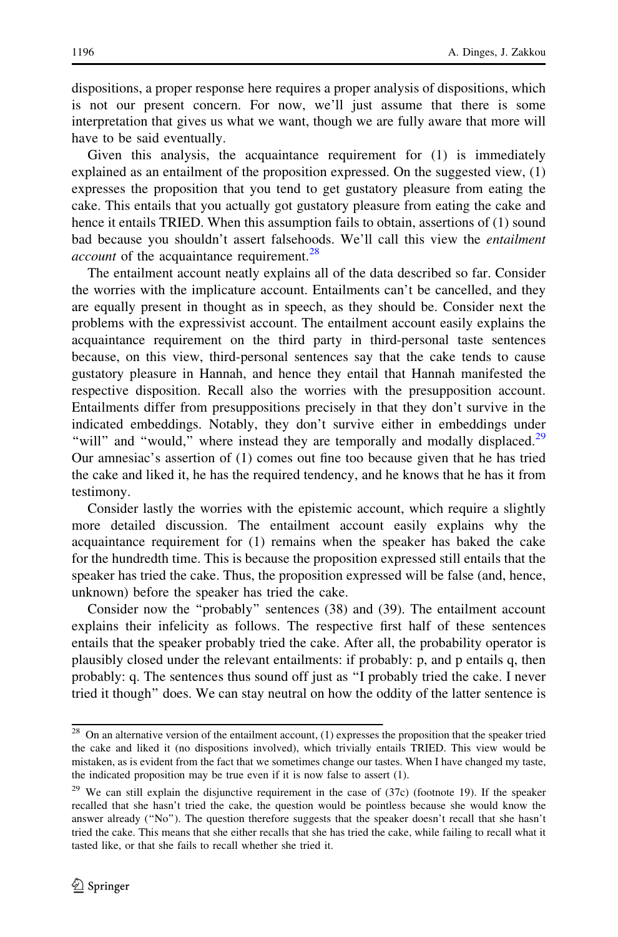dispositions, a proper response here requires a proper analysis of dispositions, which is not our present concern. For now, we'll just assume that there is some interpretation that gives us what we want, though we are fully aware that more will have to be said eventually.

Given this analysis, the acquaintance requirement for (1) is immediately explained as an entailment of the proposition expressed. On the suggested view, (1) expresses the proposition that you tend to get gustatory pleasure from eating the cake. This entails that you actually got gustatory pleasure from eating the cake and hence it entails TRIED. When this assumption fails to obtain, assertions of (1) sound bad because you shouldn't assert falsehoods. We'll call this view the *entailment account* of the acquaintance requirement.<sup>28</sup>

The entailment account neatly explains all of the data described so far. Consider the worries with the implicature account. Entailments can't be cancelled, and they are equally present in thought as in speech, as they should be. Consider next the problems with the expressivist account. The entailment account easily explains the acquaintance requirement on the third party in third-personal taste sentences because, on this view, third-personal sentences say that the cake tends to cause gustatory pleasure in Hannah, and hence they entail that Hannah manifested the respective disposition. Recall also the worries with the presupposition account. Entailments differ from presuppositions precisely in that they don't survive in the indicated embeddings. Notably, they don't survive either in embeddings under "will" and "would," where instead they are temporally and modally displaced.<sup>29</sup> Our amnesiac's assertion of (1) comes out fine too because given that he has tried the cake and liked it, he has the required tendency, and he knows that he has it from testimony.

Consider lastly the worries with the epistemic account, which require a slightly more detailed discussion. The entailment account easily explains why the acquaintance requirement for (1) remains when the speaker has baked the cake for the hundredth time. This is because the proposition expressed still entails that the speaker has tried the cake. Thus, the proposition expressed will be false (and, hence, unknown) before the speaker has tried the cake.

Consider now the ''probably'' sentences (38) and (39). The entailment account explains their infelicity as follows. The respective first half of these sentences entails that the speaker probably tried the cake. After all, the probability operator is plausibly closed under the relevant entailments: if probably: p, and p entails q, then probably: q. The sentences thus sound off just as ''I probably tried the cake. I never tried it though'' does. We can stay neutral on how the oddity of the latter sentence is

 $\overline{28}$  On an alternative version of the entailment account, (1) expresses the proposition that the speaker tried the cake and liked it (no dispositions involved), which trivially entails TRIED. This view would be mistaken, as is evident from the fact that we sometimes change our tastes. When I have changed my taste, the indicated proposition may be true even if it is now false to assert (1).

<sup>&</sup>lt;sup>29</sup> We can still explain the disjunctive requirement in the case of  $(37c)$  (footnote 19). If the speaker recalled that she hasn't tried the cake, the question would be pointless because she would know the answer already (''No''). The question therefore suggests that the speaker doesn't recall that she hasn't tried the cake. This means that she either recalls that she has tried the cake, while failing to recall what it tasted like, or that she fails to recall whether she tried it.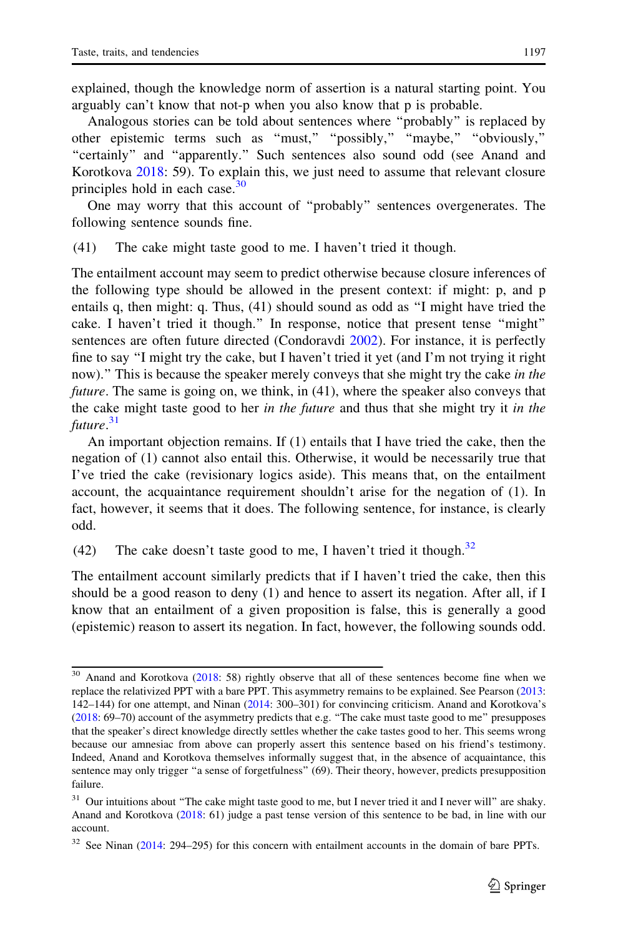explained, though the knowledge norm of assertion is a natural starting point. You arguably can't know that not-p when you also know that p is probable.

Analogous stories can be told about sentences where ''probably'' is replaced by other epistemic terms such as "must," "possibly," "maybe," "obviously," "certainly" and "apparently." Such sentences also sound odd (see Anand and Korotkova [2018:](#page-22-0) 59). To explain this, we just need to assume that relevant closure principles hold in each case. $30$ 

One may worry that this account of ''probably'' sentences overgenerates. The following sentence sounds fine.

(41) The cake might taste good to me. I haven't tried it though.

The entailment account may seem to predict otherwise because closure inferences of the following type should be allowed in the present context: if might: p, and p entails q, then might: q. Thus, (41) should sound as odd as ''I might have tried the cake. I haven't tried it though.'' In response, notice that present tense ''might'' sentences are often future directed (Condoravdi [2002\)](#page-22-0). For instance, it is perfectly fine to say ''I might try the cake, but I haven't tried it yet (and I'm not trying it right now)." This is because the speaker merely conveys that she might try the cake in the future. The same is going on, we think, in (41), where the speaker also conveys that the cake might taste good to her in the future and thus that she might try it in the future. 31

An important objection remains. If (1) entails that I have tried the cake, then the negation of (1) cannot also entail this. Otherwise, it would be necessarily true that I've tried the cake (revisionary logics aside). This means that, on the entailment account, the acquaintance requirement shouldn't arise for the negation of (1). In fact, however, it seems that it does. The following sentence, for instance, is clearly odd.

(42) The cake doesn't taste good to me, I haven't tried it though.<sup>32</sup>

The entailment account similarly predicts that if I haven't tried the cake, then this should be a good reason to deny (1) and hence to assert its negation. After all, if I know that an entailment of a given proposition is false, this is generally a good (epistemic) reason to assert its negation. In fact, however, the following sounds odd.

<sup>&</sup>lt;sup>30</sup> Anand and Korotkova ([2018:](#page-22-0) 58) rightly observe that all of these sentences become fine when we replace the relativized PPT with a bare PPT. This asymmetry remains to be explained. See Pearson [\(2013](#page-22-0): 142–144) for one attempt, and Ninan [\(2014:](#page-22-0) 300–301) for convincing criticism. Anand and Korotkova's ([2018:](#page-22-0) 69–70) account of the asymmetry predicts that e.g. ''The cake must taste good to me'' presupposes that the speaker's direct knowledge directly settles whether the cake tastes good to her. This seems wrong because our amnesiac from above can properly assert this sentence based on his friend's testimony. Indeed, Anand and Korotkova themselves informally suggest that, in the absence of acquaintance, this sentence may only trigger "a sense of forgetfulness" (69). Their theory, however, predicts presupposition failure.

<sup>&</sup>lt;sup>31</sup> Our intuitions about "The cake might taste good to me, but I never tried it and I never will" are shaky. Anand and Korotkova [\(2018](#page-22-0): 61) judge a past tense version of this sentence to be bad, in line with our account.

 $32$  See Ninan ([2014:](#page-22-0) 294–295) for this concern with entailment accounts in the domain of bare PPTs.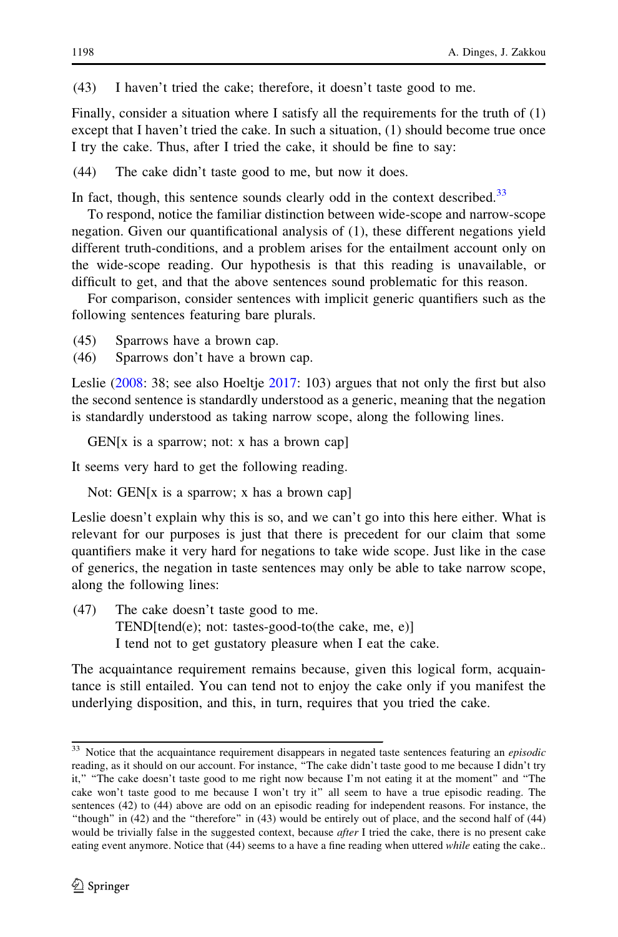(43) I haven't tried the cake; therefore, it doesn't taste good to me.

Finally, consider a situation where I satisfy all the requirements for the truth of (1) except that I haven't tried the cake. In such a situation, (1) should become true once I try the cake. Thus, after I tried the cake, it should be fine to say:

(44) The cake didn't taste good to me, but now it does.

In fact, though, this sentence sounds clearly odd in the context described. $33$ 

To respond, notice the familiar distinction between wide-scope and narrow-scope negation. Given our quantificational analysis of (1), these different negations yield different truth-conditions, and a problem arises for the entailment account only on the wide-scope reading. Our hypothesis is that this reading is unavailable, or difficult to get, and that the above sentences sound problematic for this reason.

For comparison, consider sentences with implicit generic quantifiers such as the following sentences featuring bare plurals.

(45) Sparrows have a brown cap.

(46) Sparrows don't have a brown cap.

Leslie ([2008:](#page-22-0) 38; see also Hoeltje [2017](#page-22-0): 103) argues that not only the first but also the second sentence is standardly understood as a generic, meaning that the negation is standardly understood as taking narrow scope, along the following lines.

 $GEN[x]$  is a sparrow; not: x has a brown cap]

It seems very hard to get the following reading.

Not: GEN[x is a sparrow; x has a brown cap]

Leslie doesn't explain why this is so, and we can't go into this here either. What is relevant for our purposes is just that there is precedent for our claim that some quantifiers make it very hard for negations to take wide scope. Just like in the case of generics, the negation in taste sentences may only be able to take narrow scope, along the following lines:

(47) The cake doesn't taste good to me. TEND[tend(e); not: tastes-good-to(the cake, me, e)] I tend not to get gustatory pleasure when I eat the cake.

The acquaintance requirement remains because, given this logical form, acquaintance is still entailed. You can tend not to enjoy the cake only if you manifest the underlying disposition, and this, in turn, requires that you tried the cake.

<sup>&</sup>lt;sup>33</sup> Notice that the acquaintance requirement disappears in negated taste sentences featuring an *episodic* reading, as it should on our account. For instance, "The cake didn't taste good to me because I didn't try it," "The cake doesn't taste good to me right now because I'm not eating it at the moment" and "The cake won't taste good to me because I won't try it'' all seem to have a true episodic reading. The sentences (42) to (44) above are odd on an episodic reading for independent reasons. For instance, the ''though'' in (42) and the ''therefore'' in (43) would be entirely out of place, and the second half of (44) would be trivially false in the suggested context, because *after* I tried the cake, there is no present cake eating event anymore. Notice that (44) seems to a have a fine reading when uttered while eating the cake..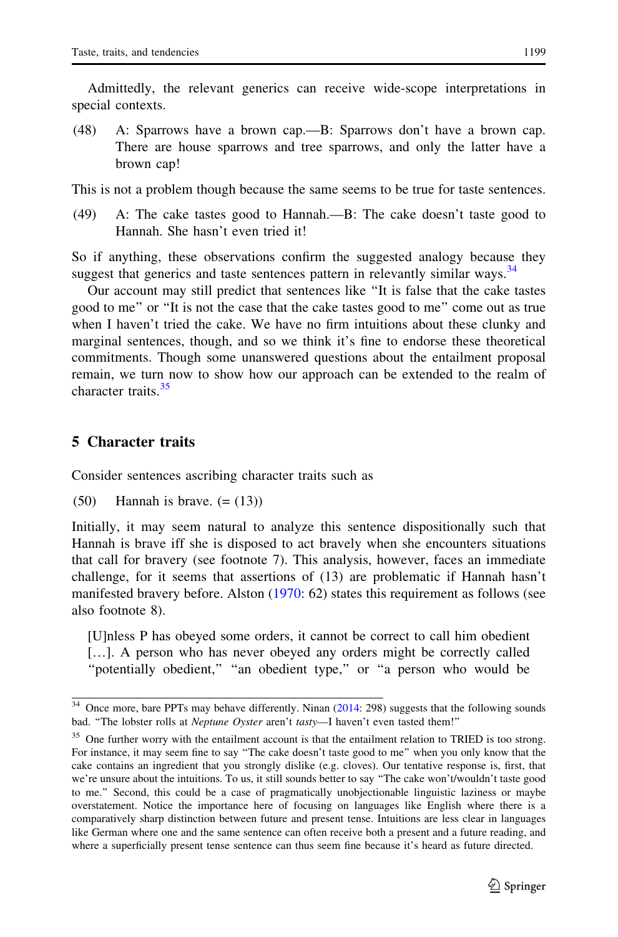<span id="page-16-0"></span>Admittedly, the relevant generics can receive wide-scope interpretations in special contexts.

(48) A: Sparrows have a brown cap.—B: Sparrows don't have a brown cap. There are house sparrows and tree sparrows, and only the latter have a brown cap!

This is not a problem though because the same seems to be true for taste sentences.

(49) A: The cake tastes good to Hannah.—B: The cake doesn't taste good to Hannah. She hasn't even tried it!

So if anything, these observations confirm the suggested analogy because they suggest that generics and taste sentences pattern in relevantly similar ways.<sup>34</sup>

Our account may still predict that sentences like ''It is false that the cake tastes good to me'' or ''It is not the case that the cake tastes good to me'' come out as true when I haven't tried the cake. We have no firm intuitions about these clunky and marginal sentences, though, and so we think it's fine to endorse these theoretical commitments. Though some unanswered questions about the entailment proposal remain, we turn now to show how our approach can be extended to the realm of character traits.<sup>35</sup>

## 5 Character traits

Consider sentences ascribing character traits such as

 $(50)$  Hannah is brave.  $(=(13))$ 

Initially, it may seem natural to analyze this sentence dispositionally such that Hannah is brave iff she is disposed to act bravely when she encounters situations that call for bravery (see footnote 7). This analysis, however, faces an immediate challenge, for it seems that assertions of (13) are problematic if Hannah hasn't manifested bravery before. Alston [\(1970](#page-21-0): 62) states this requirement as follows (see also footnote 8).

[U]nless P has obeyed some orders, it cannot be correct to call him obedient [...]. A person who has never obeyed any orders might be correctly called "potentially obedient," "an obedient type," or "a person who would be

<sup>&</sup>lt;sup>34</sup> Once more, bare PPTs may behave differently. Ninan ([2014:](#page-22-0) 298) suggests that the following sounds bad. ''The lobster rolls at Neptune Oyster aren't tasty—I haven't even tasted them!''

<sup>&</sup>lt;sup>35</sup> One further worry with the entailment account is that the entailment relation to TRIED is too strong. For instance, it may seem fine to say ''The cake doesn't taste good to me'' when you only know that the cake contains an ingredient that you strongly dislike (e.g. cloves). Our tentative response is, first, that we're unsure about the intuitions. To us, it still sounds better to say ''The cake won't/wouldn't taste good to me.'' Second, this could be a case of pragmatically unobjectionable linguistic laziness or maybe overstatement. Notice the importance here of focusing on languages like English where there is a comparatively sharp distinction between future and present tense. Intuitions are less clear in languages like German where one and the same sentence can often receive both a present and a future reading, and where a superficially present tense sentence can thus seem fine because it's heard as future directed.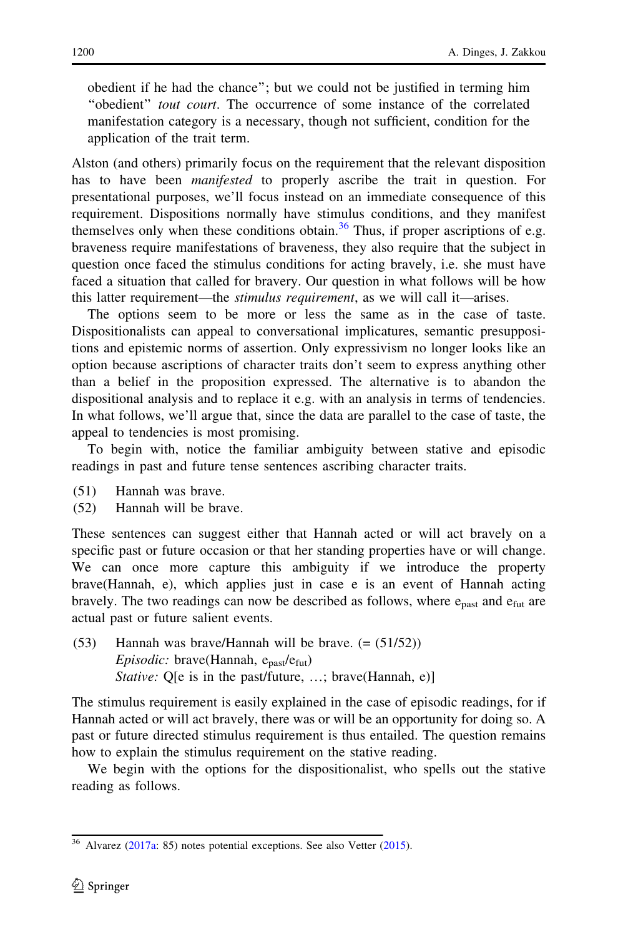obedient if he had the chance''; but we could not be justified in terming him "obedient" tout court. The occurrence of some instance of the correlated manifestation category is a necessary, though not sufficient, condition for the application of the trait term.

Alston (and others) primarily focus on the requirement that the relevant disposition has to have been *manifested* to properly ascribe the trait in question. For presentational purposes, we'll focus instead on an immediate consequence of this requirement. Dispositions normally have stimulus conditions, and they manifest themselves only when these conditions obtain.<sup>36</sup> Thus, if proper ascriptions of e.g. braveness require manifestations of braveness, they also require that the subject in question once faced the stimulus conditions for acting bravely, i.e. she must have faced a situation that called for bravery. Our question in what follows will be how this latter requirement—the stimulus requirement, as we will call it—arises.

The options seem to be more or less the same as in the case of taste. Dispositionalists can appeal to conversational implicatures, semantic presuppositions and epistemic norms of assertion. Only expressivism no longer looks like an option because ascriptions of character traits don't seem to express anything other than a belief in the proposition expressed. The alternative is to abandon the dispositional analysis and to replace it e.g. with an analysis in terms of tendencies. In what follows, we'll argue that, since the data are parallel to the case of taste, the appeal to tendencies is most promising.

To begin with, notice the familiar ambiguity between stative and episodic readings in past and future tense sentences ascribing character traits.

- (51) Hannah was brave.
- (52) Hannah will be brave.

These sentences can suggest either that Hannah acted or will act bravely on a specific past or future occasion or that her standing properties have or will change. We can once more capture this ambiguity if we introduce the property brave(Hannah, e), which applies just in case e is an event of Hannah acting bravely. The two readings can now be described as follows, where  $e_{\text{past}}$  and  $e_{\text{fut}}$  are actual past or future salient events.

(53) Hannah was brave/Hannah will be brave. (= (51/52)) Episodic: brave(Hannah,  $e_{\text{past}}/e_{\text{fut}}$ ) Stative: Q[e is in the past/future, ...; brave(Hannah, e)]

The stimulus requirement is easily explained in the case of episodic readings, for if Hannah acted or will act bravely, there was or will be an opportunity for doing so. A past or future directed stimulus requirement is thus entailed. The question remains how to explain the stimulus requirement on the stative reading.

We begin with the options for the dispositionalist, who spells out the stative reading as follows.

<sup>&</sup>lt;sup>36</sup> Alvarez ([2017a:](#page-22-0) 85) notes potential exceptions. See also Vetter ([2015\)](#page-22-0).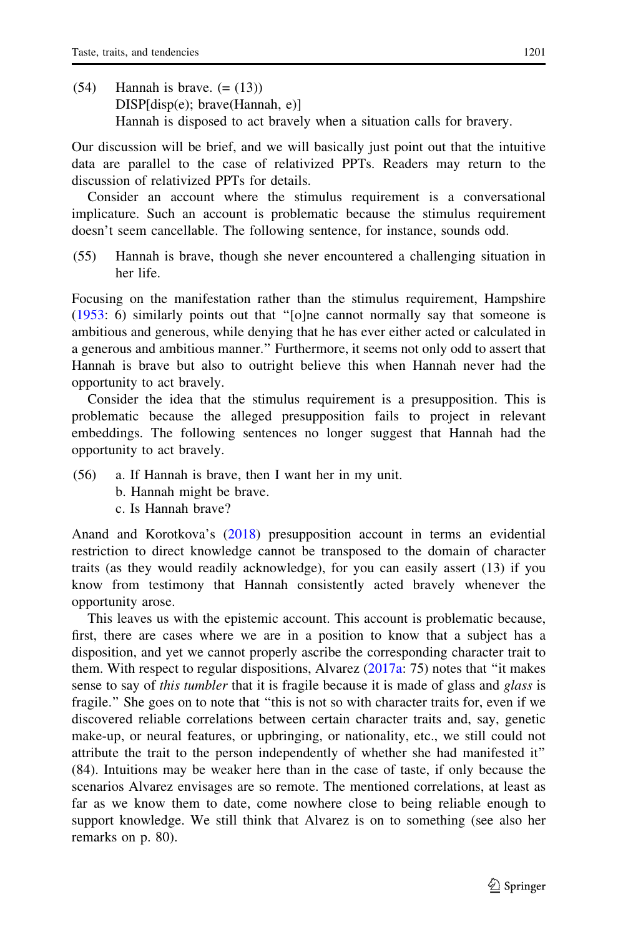$(54)$  Hannah is brave.  $(=(13))$ DISP[disp(e); brave(Hannah, e)] Hannah is disposed to act bravely when a situation calls for bravery.

Our discussion will be brief, and we will basically just point out that the intuitive data are parallel to the case of relativized PPTs. Readers may return to the discussion of relativized PPTs for details.

Consider an account where the stimulus requirement is a conversational implicature. Such an account is problematic because the stimulus requirement doesn't seem cancellable. The following sentence, for instance, sounds odd.

(55) Hannah is brave, though she never encountered a challenging situation in her life.

Focusing on the manifestation rather than the stimulus requirement, Hampshire [\(1953](#page-22-0): 6) similarly points out that ''[o]ne cannot normally say that someone is ambitious and generous, while denying that he has ever either acted or calculated in a generous and ambitious manner.'' Furthermore, it seems not only odd to assert that Hannah is brave but also to outright believe this when Hannah never had the opportunity to act bravely.

Consider the idea that the stimulus requirement is a presupposition. This is problematic because the alleged presupposition fails to project in relevant embeddings. The following sentences no longer suggest that Hannah had the opportunity to act bravely.

- (56) a. If Hannah is brave, then I want her in my unit.
	- b. Hannah might be brave.
	- c. Is Hannah brave?

Anand and Korotkova's [\(2018](#page-22-0)) presupposition account in terms an evidential restriction to direct knowledge cannot be transposed to the domain of character traits (as they would readily acknowledge), for you can easily assert (13) if you know from testimony that Hannah consistently acted bravely whenever the opportunity arose.

This leaves us with the epistemic account. This account is problematic because, first, there are cases where we are in a position to know that a subject has a disposition, and yet we cannot properly ascribe the corresponding character trait to them. With respect to regular dispositions, Alvarez ([2017a](#page-22-0): 75) notes that ''it makes sense to say of *this tumbler* that it is fragile because it is made of glass and *glass* is fragile.'' She goes on to note that ''this is not so with character traits for, even if we discovered reliable correlations between certain character traits and, say, genetic make-up, or neural features, or upbringing, or nationality, etc., we still could not attribute the trait to the person independently of whether she had manifested it'' (84). Intuitions may be weaker here than in the case of taste, if only because the scenarios Alvarez envisages are so remote. The mentioned correlations, at least as far as we know them to date, come nowhere close to being reliable enough to support knowledge. We still think that Alvarez is on to something (see also her remarks on p. 80).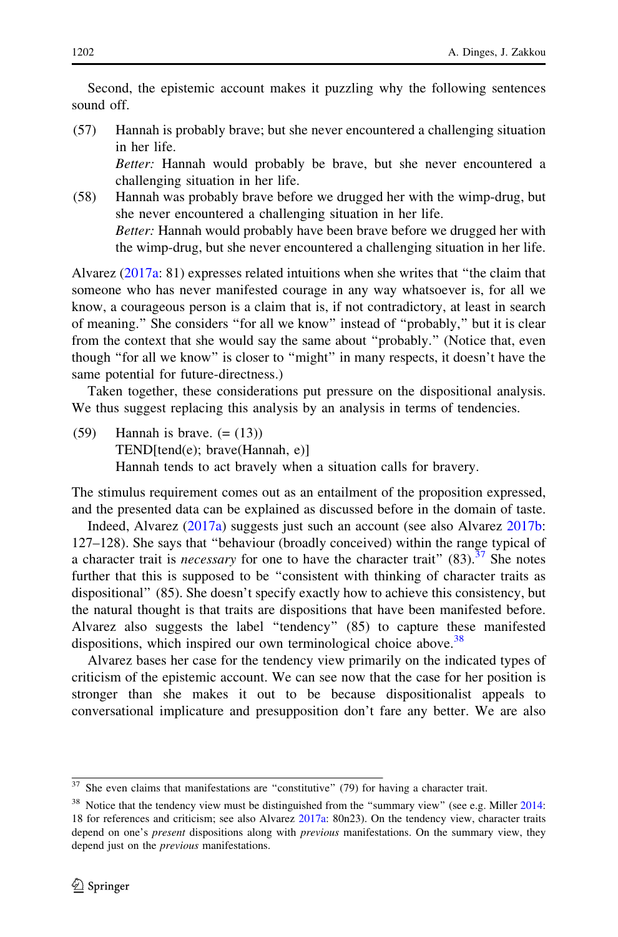Second, the epistemic account makes it puzzling why the following sentences sound off.

(57) Hannah is probably brave; but she never encountered a challenging situation in her life.

Better: Hannah would probably be brave, but she never encountered a challenging situation in her life.

(58) Hannah was probably brave before we drugged her with the wimp-drug, but she never encountered a challenging situation in her life. Better: Hannah would probably have been brave before we drugged her with the wimp-drug, but she never encountered a challenging situation in her life.

Alvarez [\(2017a:](#page-22-0) 81) expresses related intuitions when she writes that ''the claim that someone who has never manifested courage in any way whatsoever is, for all we know, a courageous person is a claim that is, if not contradictory, at least in search of meaning.'' She considers ''for all we know'' instead of ''probably,'' but it is clear from the context that she would say the same about ''probably.'' (Notice that, even though ''for all we know'' is closer to ''might'' in many respects, it doesn't have the same potential for future-directness.)

Taken together, these considerations put pressure on the dispositional analysis. We thus suggest replacing this analysis by an analysis in terms of tendencies.

 $(59)$  Hannah is brave.  $(=(13))$ TEND[tend(e); brave(Hannah, e)] Hannah tends to act bravely when a situation calls for bravery.

The stimulus requirement comes out as an entailment of the proposition expressed, and the presented data can be explained as discussed before in the domain of taste.

Indeed, Alvarez [\(2017a\)](#page-22-0) suggests just such an account (see also Alvarez [2017b:](#page-22-0) 127–128). She says that ''behaviour (broadly conceived) within the range typical of a character trait is *necessary* for one to have the character trait"  $(83)$ .<sup>37</sup> She notes further that this is supposed to be ''consistent with thinking of character traits as dispositional'' (85). She doesn't specify exactly how to achieve this consistency, but the natural thought is that traits are dispositions that have been manifested before. Alvarez also suggests the label ''tendency'' (85) to capture these manifested dispositions, which inspired our own terminological choice above.<sup>38</sup>

Alvarez bases her case for the tendency view primarily on the indicated types of criticism of the epistemic account. We can see now that the case for her position is stronger than she makes it out to be because dispositionalist appeals to conversational implicature and presupposition don't fare any better. We are also

 $37$  She even claims that manifestations are "constitutive" (79) for having a character trait.

<sup>&</sup>lt;sup>38</sup> Notice that the tendency view must be distinguished from the "summary view" (see e.g. Miller [2014](#page-22-0): 18 for references and criticism; see also Alvarez [2017a:](#page-22-0) 80n23). On the tendency view, character traits depend on one's *present* dispositions along with *previous* manifestations. On the summary view, they depend just on the *previous* manifestations.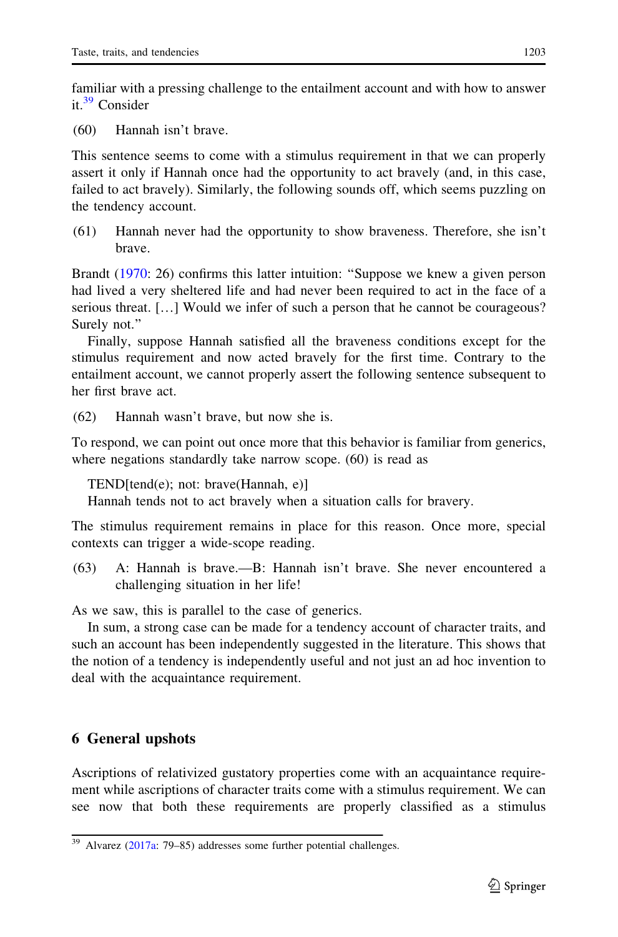familiar with a pressing challenge to the entailment account and with how to answer it.<sup>39</sup> Consider

(60) Hannah isn't brave.

This sentence seems to come with a stimulus requirement in that we can properly assert it only if Hannah once had the opportunity to act bravely (and, in this case, failed to act bravely). Similarly, the following sounds off, which seems puzzling on the tendency account.

(61) Hannah never had the opportunity to show braveness. Therefore, she isn't brave.

Brandt ([1970:](#page-22-0) 26) confirms this latter intuition: ''Suppose we knew a given person had lived a very sheltered life and had never been required to act in the face of a serious threat. […] Would we infer of such a person that he cannot be courageous? Surely not.''

Finally, suppose Hannah satisfied all the braveness conditions except for the stimulus requirement and now acted bravely for the first time. Contrary to the entailment account, we cannot properly assert the following sentence subsequent to her first brave act.

(62) Hannah wasn't brave, but now she is.

To respond, we can point out once more that this behavior is familiar from generics, where negations standardly take narrow scope. (60) is read as

TEND[tend(e); not: brave(Hannah, e)]

Hannah tends not to act bravely when a situation calls for bravery.

The stimulus requirement remains in place for this reason. Once more, special contexts can trigger a wide-scope reading.

(63) A: Hannah is brave.—B: Hannah isn't brave. She never encountered a challenging situation in her life!

As we saw, this is parallel to the case of generics.

In sum, a strong case can be made for a tendency account of character traits, and such an account has been independently suggested in the literature. This shows that the notion of a tendency is independently useful and not just an ad hoc invention to deal with the acquaintance requirement.

## 6 General upshots

Ascriptions of relativized gustatory properties come with an acquaintance requirement while ascriptions of character traits come with a stimulus requirement. We can see now that both these requirements are properly classified as a stimulus

<sup>39</sup> Alvarez ([2017a:](#page-22-0) 79–85) addresses some further potential challenges.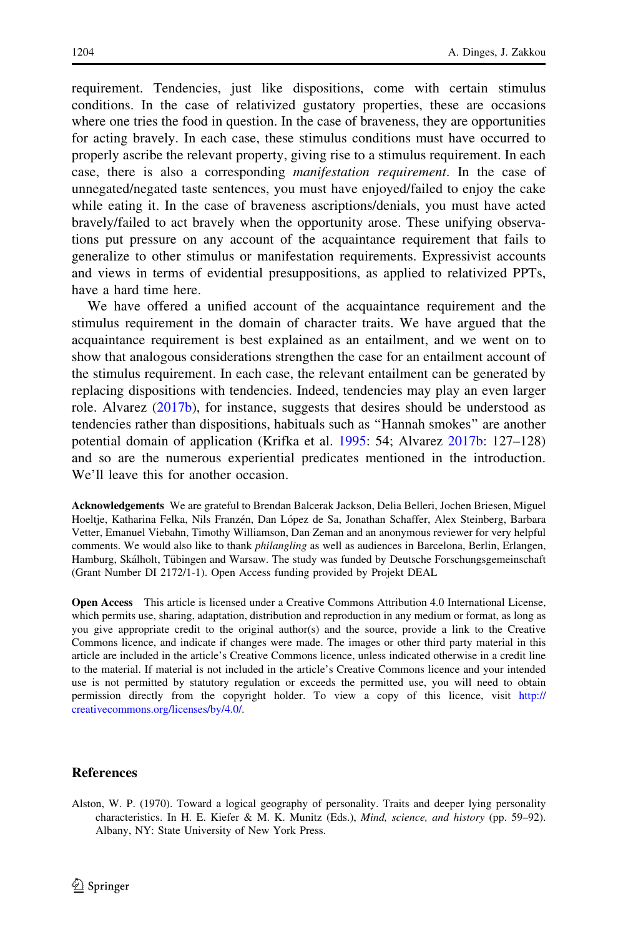<span id="page-21-0"></span>requirement. Tendencies, just like dispositions, come with certain stimulus conditions. In the case of relativized gustatory properties, these are occasions where one tries the food in question. In the case of braveness, they are opportunities for acting bravely. In each case, these stimulus conditions must have occurred to properly ascribe the relevant property, giving rise to a stimulus requirement. In each case, there is also a corresponding manifestation requirement. In the case of unnegated/negated taste sentences, you must have enjoyed/failed to enjoy the cake while eating it. In the case of braveness ascriptions/denials, you must have acted bravely/failed to act bravely when the opportunity arose. These unifying observations put pressure on any account of the acquaintance requirement that fails to generalize to other stimulus or manifestation requirements. Expressivist accounts and views in terms of evidential presuppositions, as applied to relativized PPTs, have a hard time here.

We have offered a unified account of the acquaintance requirement and the stimulus requirement in the domain of character traits. We have argued that the acquaintance requirement is best explained as an entailment, and we went on to show that analogous considerations strengthen the case for an entailment account of the stimulus requirement. In each case, the relevant entailment can be generated by replacing dispositions with tendencies. Indeed, tendencies may play an even larger role. Alvarez ([2017b\)](#page-22-0), for instance, suggests that desires should be understood as tendencies rather than dispositions, habituals such as ''Hannah smokes'' are another potential domain of application (Krifka et al. [1995:](#page-22-0) 54; Alvarez [2017b:](#page-22-0) 127–128) and so are the numerous experiential predicates mentioned in the introduction. We'll leave this for another occasion.

Acknowledgements We are grateful to Brendan Balcerak Jackson, Delia Belleri, Jochen Briesen, Miguel Hoeltje, Katharina Felka, Nils Franzén, Dan López de Sa, Jonathan Schaffer, Alex Steinberg, Barbara Vetter, Emanuel Viebahn, Timothy Williamson, Dan Zeman and an anonymous reviewer for very helpful comments. We would also like to thank *philangling* as well as audiences in Barcelona, Berlin, Erlangen, Hamburg, Skálholt, Tübingen and Warsaw. The study was funded by Deutsche Forschungsgemeinschaft (Grant Number DI 2172/1-1). Open Access funding provided by Projekt DEAL

Open Access This article is licensed under a Creative Commons Attribution 4.0 International License, which permits use, sharing, adaptation, distribution and reproduction in any medium or format, as long as you give appropriate credit to the original author(s) and the source, provide a link to the Creative Commons licence, and indicate if changes were made. The images or other third party material in this article are included in the article's Creative Commons licence, unless indicated otherwise in a credit line to the material. If material is not included in the article's Creative Commons licence and your intended use is not permitted by statutory regulation or exceeds the permitted use, you will need to obtain permission directly from the copyright holder. To view a copy of this licence, visit [http://](http://creativecommons.org/licenses/by/4.0/) [creativecommons.org/licenses/by/4.0/.](http://creativecommons.org/licenses/by/4.0/)

#### References

Alston, W. P. (1970). Toward a logical geography of personality. Traits and deeper lying personality characteristics. In H. E. Kiefer & M. K. Munitz (Eds.), Mind, science, and history (pp. 59–92). Albany, NY: State University of New York Press.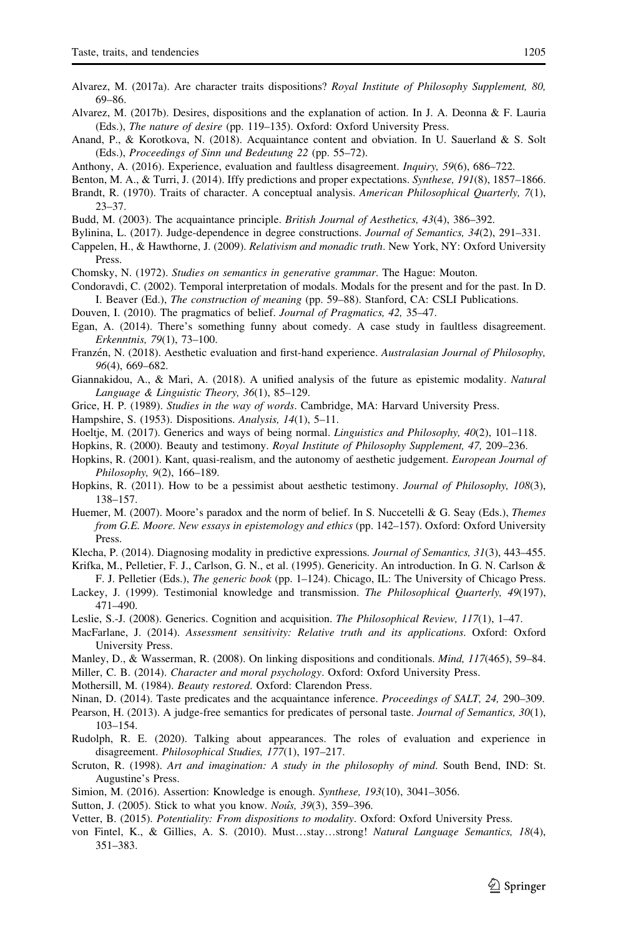- <span id="page-22-0"></span>Alvarez, M. (2017a). Are character traits dispositions? Royal Institute of Philosophy Supplement, 80, 69–86.
- Alvarez, M. (2017b). Desires, dispositions and the explanation of action. In J. A. Deonna & F. Lauria (Eds.), The nature of desire (pp. 119–135). Oxford: Oxford University Press.
- Anand, P., & Korotkova, N. (2018). Acquaintance content and obviation. In U. Sauerland & S. Solt (Eds.), Proceedings of Sinn und Bedeutung 22 (pp. 55–72).
- Anthony, A. (2016). Experience, evaluation and faultless disagreement. Inquiry, 59(6), 686–722.
- Benton, M. A., & Turri, J. (2014). Iffy predictions and proper expectations. Synthese, 191(8), 1857–1866.
- Brandt, R. (1970). Traits of character. A conceptual analysis. American Philosophical Quarterly, 7(1), 23–37.
- Budd, M. (2003). The acquaintance principle. British Journal of Aesthetics, 43(4), 386–392.
- Bylinina, L. (2017). Judge-dependence in degree constructions. Journal of Semantics, 34(2), 291–331.
- Cappelen, H., & Hawthorne, J. (2009). Relativism and monadic truth. New York, NY: Oxford University Press.
- Chomsky, N. (1972). Studies on semantics in generative grammar. The Hague: Mouton.
- Condoravdi, C. (2002). Temporal interpretation of modals. Modals for the present and for the past. In D. I. Beaver (Ed.), The construction of meaning (pp. 59–88). Stanford, CA: CSLI Publications.
- Douven, I. (2010). The pragmatics of belief. Journal of Pragmatics, 42, 35–47.
- Egan, A. (2014). There's something funny about comedy. A case study in faultless disagreement. Erkenntnis, 79(1), 73–100.
- Franzén, N. (2018). Aesthetic evaluation and first-hand experience. Australasian Journal of Philosophy, 96(4), 669–682.
- Giannakidou, A., & Mari, A. (2018). A unified analysis of the future as epistemic modality. Natural Language & Linguistic Theory, 36(1), 85–129.
- Grice, H. P. (1989). Studies in the way of words. Cambridge, MA: Harvard University Press.
- Hampshire, S. (1953). Dispositions. Analysis, 14(1), 5–11.
- Hoeltje, M. (2017). Generics and ways of being normal. Linguistics and Philosophy, 40(2), 101–118.
- Hopkins, R. (2000). Beauty and testimony. Royal Institute of Philosophy Supplement, 47, 209–236.
- Hopkins, R. (2001). Kant, quasi-realism, and the autonomy of aesthetic judgement. *European Journal of* Philosophy, 9(2), 166–189.
- Hopkins, R. (2011). How to be a pessimist about aesthetic testimony. Journal of Philosophy, 108(3), 138–157.
- Huemer, M. (2007). Moore's paradox and the norm of belief. In S. Nuccetelli & G. Seay (Eds.), *Themes* from G.E. Moore. New essays in epistemology and ethics (pp. 142–157). Oxford: Oxford University Press.
- Klecha, P. (2014). Diagnosing modality in predictive expressions. Journal of Semantics, 31(3), 443–455.
- Krifka, M., Pelletier, F. J., Carlson, G. N., et al. (1995). Genericity. An introduction. In G. N. Carlson & F. J. Pelletier (Eds.), The generic book (pp. 1–124). Chicago, IL: The University of Chicago Press.
- Lackey, J. (1999). Testimonial knowledge and transmission. The Philosophical Quarterly, 49(197), 471–490.
- Leslie, S.-J. (2008). Generics. Cognition and acquisition. The Philosophical Review, 117(1), 1–47.
- MacFarlane, J. (2014). Assessment sensitivity: Relative truth and its applications. Oxford: Oxford University Press.
- Manley, D., & Wasserman, R. (2008). On linking dispositions and conditionals. Mind, 117(465), 59–84. Miller, C. B. (2014). Character and moral psychology. Oxford: Oxford University Press.
- Mothersill, M. (1984). Beauty restored. Oxford: Clarendon Press.
- Ninan, D. (2014). Taste predicates and the acquaintance inference. *Proceedings of SALT*, 24, 290–309.

Pearson, H. (2013). A judge-free semantics for predicates of personal taste. Journal of Semantics, 30(1), 103–154.

- Rudolph, R. E. (2020). Talking about appearances. The roles of evaluation and experience in disagreement. Philosophical Studies, 177(1), 197–217.
- Scruton, R. (1998). Art and imagination: A study in the philosophy of mind. South Bend, IND: St. Augustine's Press.
- Simion, M. (2016). Assertion: Knowledge is enough. Synthese, 193(10), 3041–3056.
- Sutton, J. (2005). Stick to what you know. *Nou*<sup>s</sup>s, 39(3), 359–396.
- Vetter, B. (2015). Potentiality: From dispositions to modality. Oxford: Oxford University Press.
- von Fintel, K., & Gillies, A. S. (2010). Must…stay…strong! Natural Language Semantics, 18(4), 351–383.